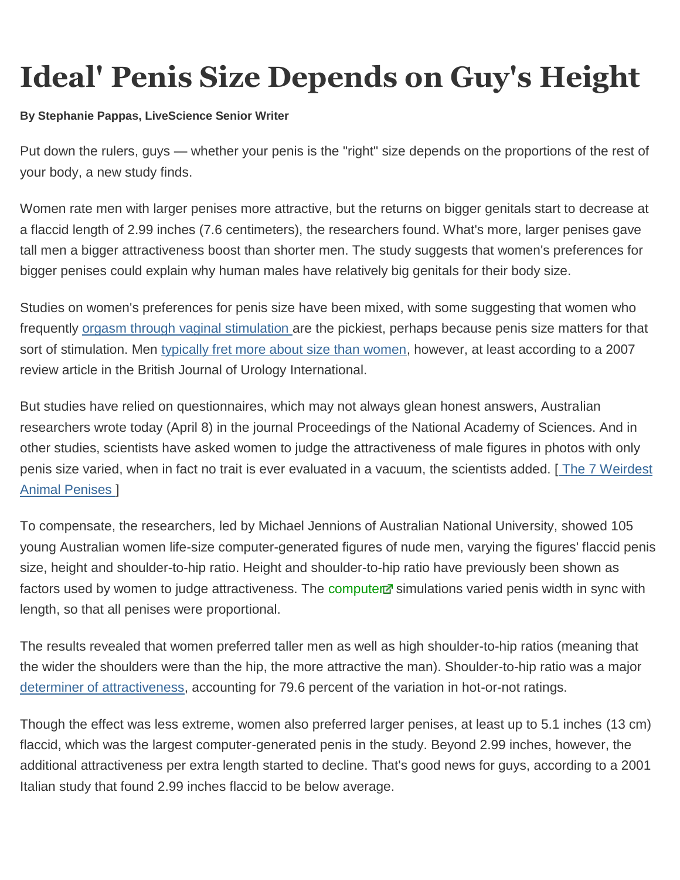## **Ideal' Penis Size Depends on Guy's Height**

## **By Stephanie Pappas, LiveScience Senior Writer**

Put down the rulers, guys — whether your penis is the "right" size depends on the proportions of the rest of your body, a new study finds.

Women rate men with larger penises more attractive, but the returns on bigger genitals start to decrease at a flaccid length of 2.99 inches (7.6 centimeters), the researchers found. What's more, larger penises gave tall men a bigger attractiveness boost than shorter men. The study suggests that women's preferences for bigger penises could explain why human males have relatively big genitals for their body size.

Studies on women's preferences for penis size have been mixed, with some suggesting that women who frequently [orgasm through vaginal stimulation a](http://www.livescience.com/23785-penis-size-matters-orgasms.html)re the pickiest, perhaps because penis size matters for that sort of stimulation. Men [typically fret more about size than women,](http://www.livescience.com/4489-penis-myths-debunked.html) however, at least according to a 2007 review article in the British Journal of Urology International.

But studies have relied on questionnaires, which may not always glean honest answers, Australian researchers wrote today (April 8) in the journal Proceedings of the National Academy of Sciences. And in other studies, scientists have asked women to judge the attractiveness of male figures in photos with only penis size varied, when in fact no trait is ever evaluated in a vacuum, the scientists added. [ [The 7 Weirdest](http://www.livescience.com/27253-weird-strange-animal-penises.html)  [Animal Penises \]](http://www.livescience.com/27253-weird-strange-animal-penises.html)

To compensate, the researchers, led by Michael Jennions of Australian National University, showed 105 young Australian women life-size computer-generated figures of nude men, varying the figures' flaccid penis size, height and shoulder-to-hip ratio. Height and shoulder-to-hip ratio have previously been shown as factors used by women to judge attractiveness. The [computer](http://www.nbcnews.com/id/51470024/ns/technology_and_science-science/t/ideal-penis-size-depends-guys-height/?lite&lite=obinsite) simulations varied penis width in sync with length, so that all penises were proportional.

The results revealed that women preferred taller men as well as high shoulder-to-hip ratios (meaning that the wider the shoulders were than the hip, the more attractive the man). Shoulder-to-hip ratio was a major [determiner of attractiveness,](http://www.livescience.com/17798-women-sexually-attractive-partners.html) accounting for 79.6 percent of the variation in hot-or-not ratings.

Though the effect was less extreme, women also preferred larger penises, at least up to 5.1 inches (13 cm) flaccid, which was the largest computer-generated penis in the study. Beyond 2.99 inches, however, the additional attractiveness per extra length started to decline. That's good news for guys, according to a 2001 Italian study that found 2.99 inches flaccid to be below average.